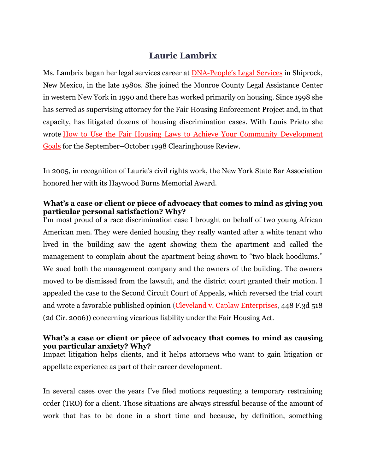# **Laurie Lambrix**

Ms. Lambrix began her legal services career at [DNA-Peo](http://www.dnalegalservices.org/)ple's Legal Services in Shiprock, New Mexico, in the late 1980s. She joined the Monroe County Legal Assistance Center in western New York in 1990 and there has worked primarily on housing. Since 1998 she has served as supervising attorney for the Fair Housing Enforcement Project and, in that capacity, has litigated dozens of housing discrimination cases. With Louis Prieto she wrote How to Use the Fair Housing Laws to Achieve Your Community [Development](http://povertylaw.org/node/1573) [Goals](http://povertylaw.org/node/1573) for the September–October 1998 Clearinghouse Review.

In 2005, in recognition of Laurie's civil rights work, the New York State Bar Association honored her with its Haywood Burns Memorial Award.

## **What's a case or client or piece of advocacy that comes to mind as giving you particular personal satisfaction? Why?**

I'm most proud of a race discrimination case I brought on behalf of two young African American men. They were denied housing they really wanted after a white tenant who lived in the building saw the agent showing them the apartment and called the management to complain about the apartment being shown to "two black hoodlums." We sued both the management company and the owners of the building. The owners moved to be dismissed from the lawsuit, and the district court granted their motion. I appealed the case to the Second Circuit Court of Appeals, which reversed the trial court and wrote a favorable published opinion (Cleveland v. Caplaw [Enterprises,](http://scholar.google.com/scholar_case?case=3451403629412080756&hl=en&as_sdt=2&as_vis=1&oi=scholarr) 448 F.3d 518 (2d Cir. 2006)) concerning vicarious liability under the Fair Housing Act.

#### **What's a case or client or piece of advocacy that comes to mind as causing you particular anxiety? Why?**

Impact litigation helps clients, and it helps attorneys who want to gain litigation or appellate experience as part of their career development.

In several cases over the years I've filed motions requesting a temporary restraining order (TRO) for a client. Those situations are always stressful because of the amount of work that has to be done in a short time and because, by definition, something